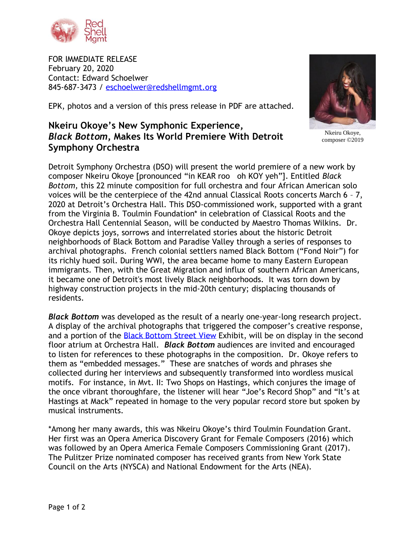

FOR IMMEDIATE RELEASE February 20, 2020 Contact: Edward Schoelwer 845-687-3473 / [eschoelwer@redshellmgmt.org](mailto:eschoelwer@redshellmgmt.org)



Nkeiru Okoye, composer ©2019

EPK, photos and a version of this press release in PDF are attached.

## **Nkeiru Okoye's New Symphonic Experience,**  *Black Bottom***, Makes Its World Premiere With Detroit Symphony Orchestra**

Detroit Symphony Orchestra (DSO) will present the world premiere of a new work by composer Nkeiru Okoye [pronounced "in KEAR roo oh KOY yeh"]. Entitled *Black Bottom,* this 22 minute composition for full orchestra and four African American solo voices will be the centerpiece of the 42nd annual Classical Roots concerts March 6 – 7, 2020 at Detroit's Orchestra Hall. This DSO-commissioned work, supported with a grant from the Virginia B. Toulmin Foundation\* in celebration of Classical Roots and the Orchestra Hall Centennial Season, will be conducted by Maestro Thomas Wilkins. Dr. Okoye depicts joys, sorrows and interrelated stories about the historic Detroit neighborhoods of Black Bottom and Paradise Valley through a series of responses to archival photographs. French colonial settlers named Black Bottom ("Fond Noir") for its richly hued soil. During WWI, the area became home to many Eastern European immigrants. Then, with the Great Migration and influx of southern African Americans, it became one of Detroit's most lively Black neighborhoods. It was torn down by highway construction projects in the mid-20th century; displacing thousands of residents.

*Black Bottom* was developed as the result of a nearly one-year-long research project. A display of the archival photographs that triggered the composer's creative response, and a portion of the **Black Bottom Street View** Exhibit, will be on display in the second floor atrium at Orchestra Hall. *Black Bottom* audiences are invited and encouraged to listen for references to these photographs in the composition. Dr. Okoye refers to them as "embedded messages." These are snatches of words and phrases she collected during her interviews and subsequently transformed into wordless musical motifs. For instance, in Mvt. II: Two Shops on Hastings, which conjures the image of the once vibrant thoroughfare, the listener will hear "Joe's Record Shop" and "It's at Hastings at Mack" repeated in homage to the very popular record store but spoken by musical instruments.

\*Among her many awards, this was Nkeiru Okoye's third Toulmin Foundation Grant. Her first was an Opera America Discovery Grant for Female Composers (2016) which was followed by an Opera America Female Composers Commissioning Grant (2017). The Pulitzer Prize nominated composer has received grants from New York State Council on the Arts (NYSCA) and National Endowment for the Arts (NEA).